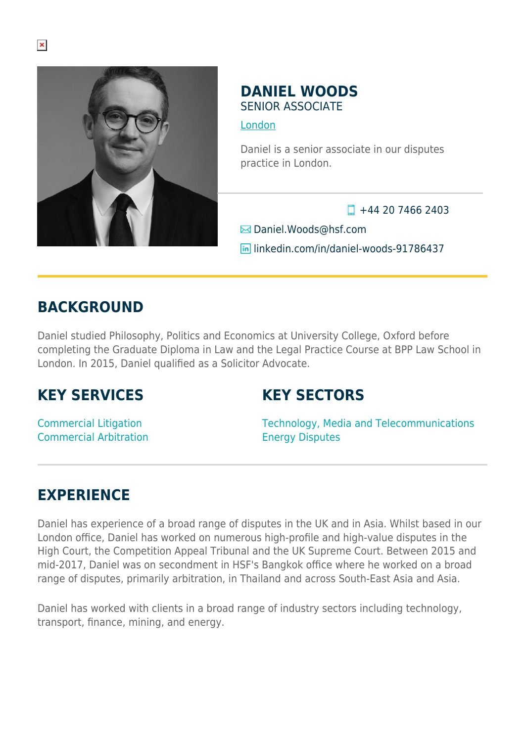

### **DANIEL WOODS** SENIOR ASSOCIATE

[London](https://www.herbertsmithfreehills.com/where-we-work/london)

Daniel is a senior associate in our disputes practice in London.

 $\Box$  +44 20 7466 2403

Daniel.Woods@hsf.com

linkedin.com/in/daniel-woods-91786437

## **BACKGROUND**

Daniel studied Philosophy, Politics and Economics at University College, Oxford before completing the Graduate Diploma in Law and the Legal Practice Course at BPP Law School in London. In 2015, Daniel qualified as a Solicitor Advocate.

## **KEY SERVICES**

## **KEY SECTORS**

Commercial Litigation Commercial Arbitration Technology, Media and Telecommunications Energy Disputes

# **EXPERIENCE**

Daniel has experience of a broad range of disputes in the UK and in Asia. Whilst based in our London office, Daniel has worked on numerous high-profile and high-value disputes in the High Court, the Competition Appeal Tribunal and the UK Supreme Court. Between 2015 and mid-2017, Daniel was on secondment in HSF's Bangkok office where he worked on a broad range of disputes, primarily arbitration, in Thailand and across South-East Asia and Asia.

Daniel has worked with clients in a broad range of industry sectors including technology, transport, finance, mining, and energy.